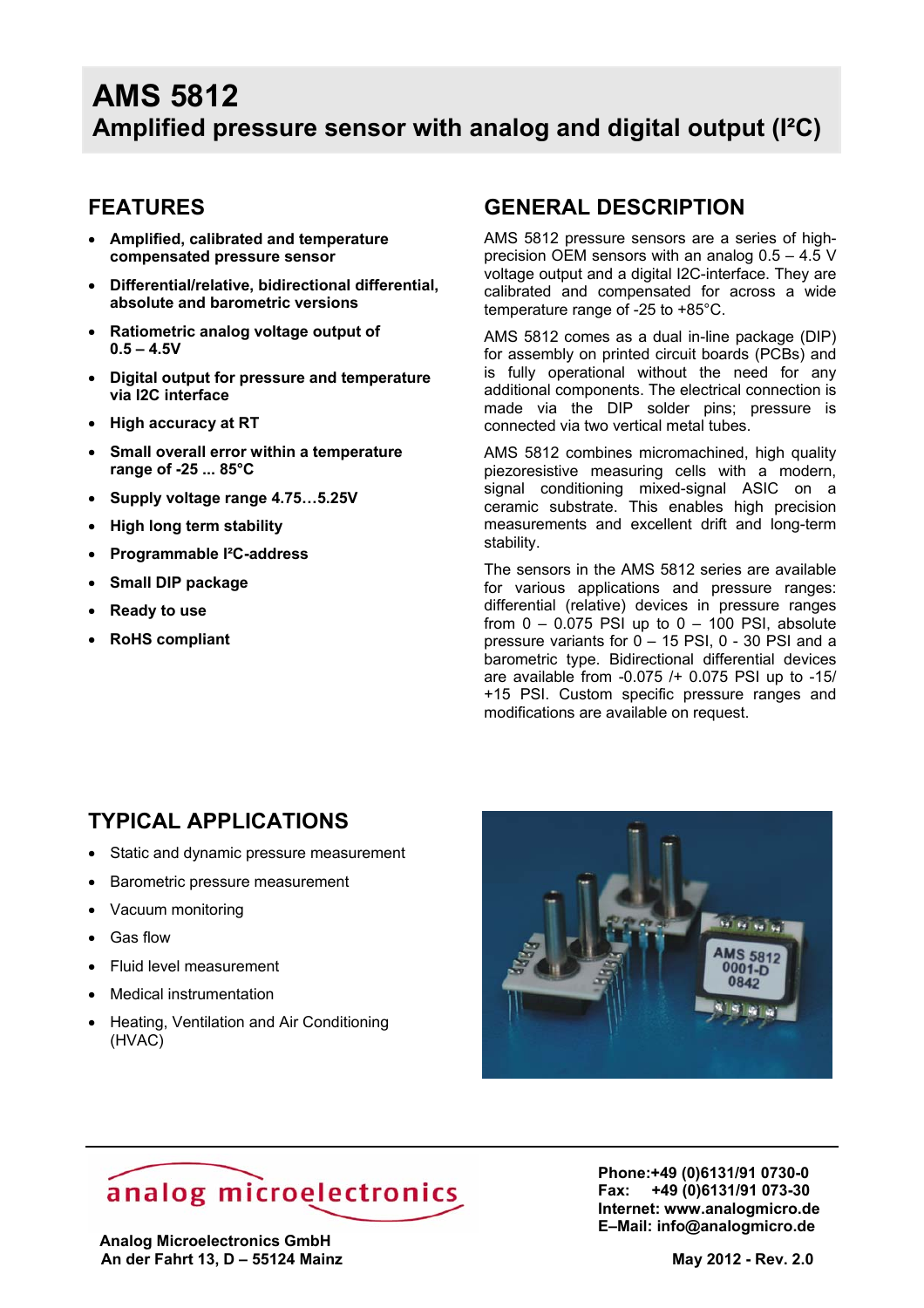### **FEATURES**

- **Amplified, calibrated and temperature compensated pressure sensor**
- **Differential/relative, bidirectional differential, absolute and barometric versions**
- **Ratiometric analog voltage output of 0.5 – 4.5V**
- **Digital output for pressure and temperature via I2C interface**
- **High accuracy at RT**
- **Small overall error within a temperature range of -25 ... 85°C**
- **Supply voltage range 4.75…5.25V**
- **High long term stability**
- **Programmable I²C-address**
- **Small DIP package**
- **Ready to use**
- **RoHS compliant**

### **GENERAL DESCRIPTION**

AMS 5812 pressure sensors are a series of highprecision OEM sensors with an analog 0.5 – 4.5 V voltage output and a digital I2C-interface. They are calibrated and compensated for across a wide temperature range of -25 to +85°C.

AMS 5812 comes as a dual in-line package (DIP) for assembly on printed circuit boards (PCBs) and is fully operational without the need for any additional components. The electrical connection is made via the DIP solder pins; pressure is connected via two vertical metal tubes.

AMS 5812 combines micromachined, high quality piezoresistive measuring cells with a modern, signal conditioning mixed-signal ASIC on a ceramic substrate. This enables high precision measurements and excellent drift and long-term stability.

The sensors in the AMS 5812 series are available for various applications and pressure ranges: differential (relative) devices in pressure ranges from  $0 - 0.075$  PSI up to  $0 - 100$  PSI, absolute pressure variants for 0 – 15 PSI, 0 - 30 PSI and a barometric type. Bidirectional differential devices are available from -0.075 /+ 0.075 PSI up to -15/ +15 PSI. Custom specific pressure ranges and modifications are available on request.

### **TYPICAL APPLICATIONS**

- Static and dynamic pressure measurement
- Barometric pressure measurement
- Vacuum monitoring
- Gas flow
- Fluid level measurement
- **Medical instrumentation**
- Heating, Ventilation and Air Conditioning (HVAC)



# analog microelectronics

 **Analog Microelectronics GmbH An der Fahrt 13, D – 55124 Mainz May 2012 - Rev. 2.0** 

**Phone:+49 (0)6131/91 0730-0 Fax: +49 (0)6131/91 073-30 Internet: www.analogmicro.de E–Mail: info@analogmicro.de**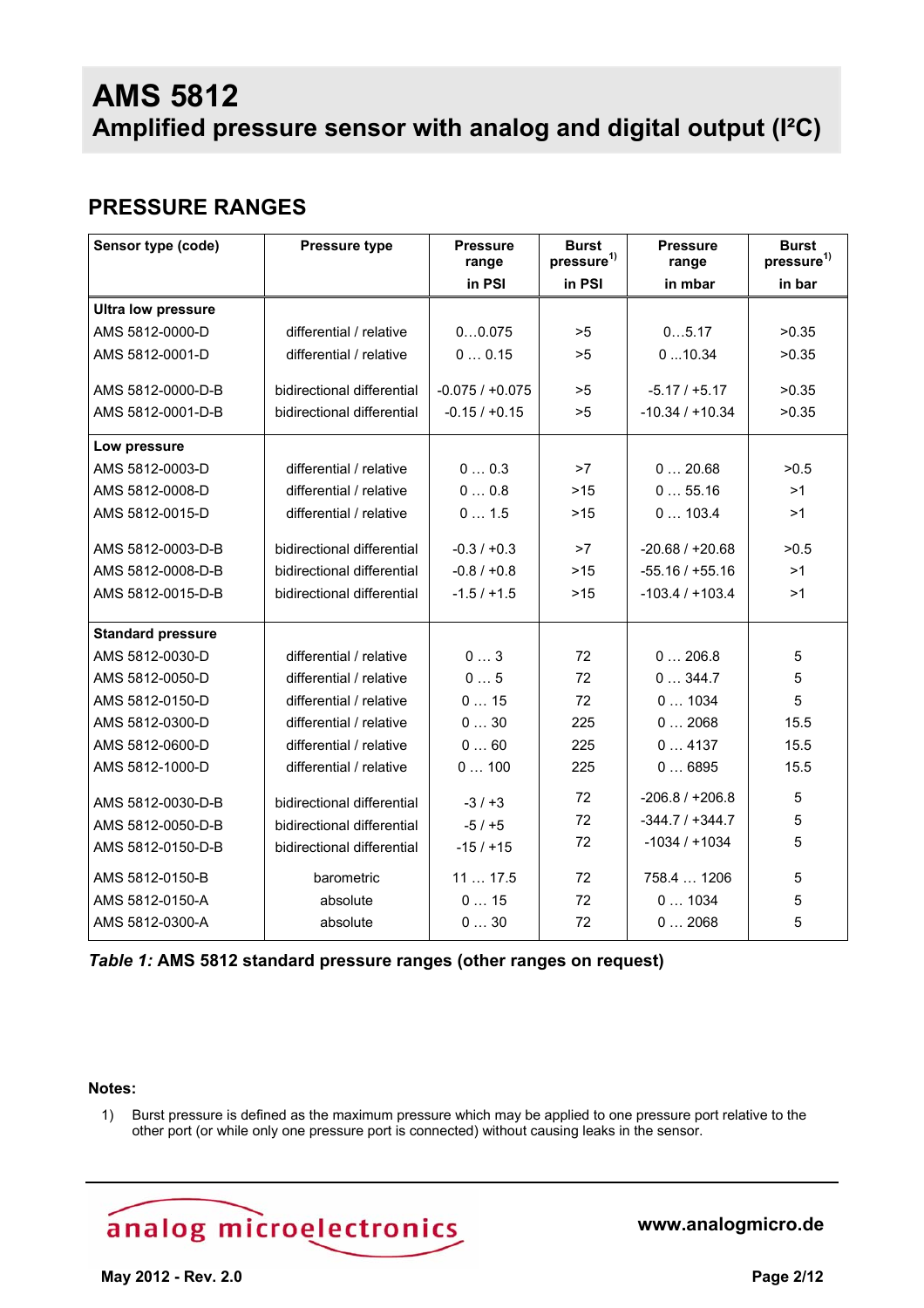## **PRESSURE RANGES**

| Sensor type (code)        | <b>Pressure type</b>       | <b>Pressure</b><br>range | <b>Burst</b><br>pressure <sup>1)</sup> | <b>Pressure</b><br>range | <b>Burst</b><br>pressure <sup>1)</sup> |
|---------------------------|----------------------------|--------------------------|----------------------------------------|--------------------------|----------------------------------------|
|                           |                            | in PSI                   | in PSI                                 | in mbar                  | in bar                                 |
| <b>Ultra low pressure</b> |                            |                          |                                        |                          |                                        |
| AMS 5812-0000-D           | differential / relative    | 00.075                   | >5                                     | 05.17                    | >0.35                                  |
| AMS 5812-0001-D           | differential / relative    | 00.15                    | >5                                     | 010.34                   | >0.35                                  |
| AMS 5812-0000-D-B         | bidirectional differential | $-0.075/+0.075$          | >5                                     | $-5.17/ +5.17$           | >0.35                                  |
| AMS 5812-0001-D-B         | bidirectional differential | $-0.15 / +0.15$          | >5                                     | $-10.34 / +10.34$        | >0.35                                  |
| Low pressure              |                            |                          |                                        |                          |                                        |
| AMS 5812-0003-D           | differential / relative    | 00.3                     | >7                                     | 020.68                   | >0.5                                   |
| AMS 5812-0008-D           | differential / relative    | 00.8                     | $>15$                                  | 055.16                   | >1                                     |
| AMS 5812-0015-D           | differential / relative    | 01.5                     | >15                                    | 0103.4                   | >1                                     |
| AMS 5812-0003-D-B         | bidirectional differential | $-0.3 / +0.3$            | >7                                     | $-20.68 / +20.68$        | >0.5                                   |
| AMS 5812-0008-D-B         | bidirectional differential | $-0.8 / +0.8$            | $>15$                                  | $-55.16 / +55.16$        | >1                                     |
| AMS 5812-0015-D-B         | bidirectional differential | $-1.5/ + 1.5$            | >15                                    | $-103.4 / +103.4$        | >1                                     |
| <b>Standard pressure</b>  |                            |                          |                                        |                          |                                        |
| AMS 5812-0030-D           | differential / relative    | 03                       | 72                                     | 0206.8                   | 5                                      |
| AMS 5812-0050-D           | differential / relative    | 05                       | 72                                     | 0344.7                   | 5                                      |
| AMS 5812-0150-D           | differential / relative    | 015                      | 72                                     | 01034                    | 5                                      |
| AMS 5812-0300-D           | differential / relative    | 030                      | 225                                    | 02068                    | 15.5                                   |
| AMS 5812-0600-D           | differential / relative    | 060                      | 225                                    | 04137                    | 15.5                                   |
| AMS 5812-1000-D           | differential / relative    | 0100                     | 225                                    | 06895                    | 15.5                                   |
| AMS 5812-0030-D-B         | bidirectional differential | $-3/ +3$                 | 72                                     | $-206.8 / +206.8$        | 5                                      |
| AMS 5812-0050-D-B         | bidirectional differential | $-5/ +5$                 | 72                                     | $-344.7 / + 344.7$       | 5                                      |
| AMS 5812-0150-D-B         | bidirectional differential | $-15/ +15$               | 72                                     | $-1034/11034$            | 5                                      |
| AMS 5812-0150-B           | barometric                 | 1117.5                   | 72                                     | 758.4  1206              | 5                                      |
| AMS 5812-0150-A           | absolute                   | 015                      | 72                                     | 01034                    | 5                                      |
| AMS 5812-0300-A           | absolute                   | 030                      | 72                                     | 02068                    | 5                                      |

*Table 1:* **AMS 5812 standard pressure ranges (other ranges on request)**

#### **Notes:**

1) Burst pressure is defined as the maximum pressure which may be applied to one pressure port relative to the other port (or while only one pressure port is connected) without causing leaks in the sensor.

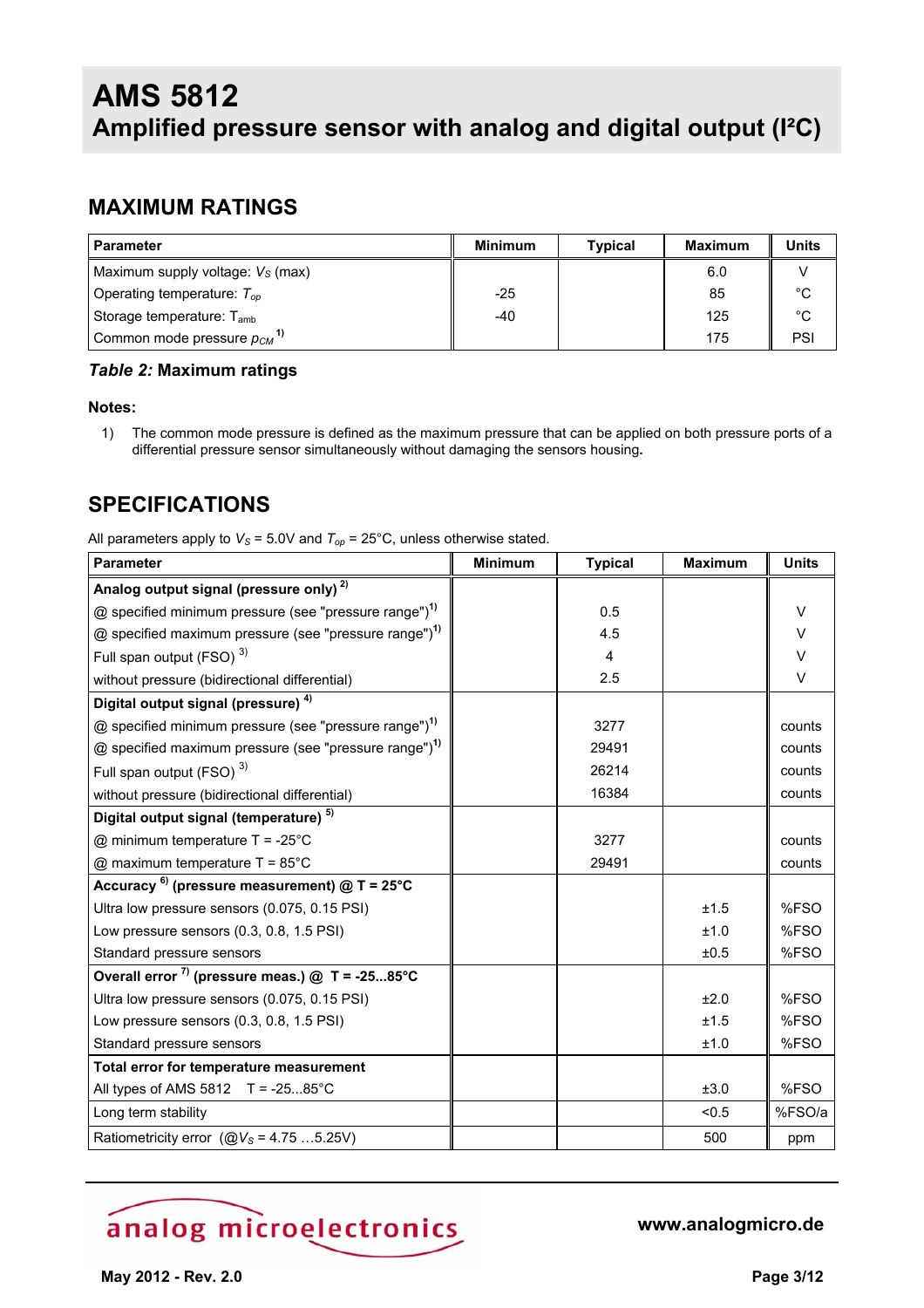### **MAXIMUM RATINGS**

| <b>Parameter</b>                            | <b>Minimum</b> | <b>Typical</b> | <b>Maximum</b> | <b>Units</b> |
|---------------------------------------------|----------------|----------------|----------------|--------------|
| Maximum supply voltage: $V_s$ (max)         |                |                | 6.0            |              |
| Operating temperature: $T_{op}$             | $-25$          |                | 85             | $^{\circ}$ C |
| Storage temperature: $T_{amb}$              | -40            |                | 125            | $^{\circ}$ C |
| Common mode pressure $p_{CM}$ <sup>1)</sup> |                |                | 175            | PSI          |

#### *Table 2:* **Maximum ratings**

#### **Notes:**

1) The common mode pressure is defined as the maximum pressure that can be applied on both pressure ports of a differential pressure sensor simultaneously without damaging the sensors housing**.**

### **SPECIFICATIONS**

All parameters apply to  $V_s$  = 5.0V and  $T_{op}$  = 25°C, unless otherwise stated.

| <b>Parameter</b>                                                  | <b>Minimum</b> | <b>Typical</b> | <b>Maximum</b> | <b>Units</b> |
|-------------------------------------------------------------------|----------------|----------------|----------------|--------------|
| Analog output signal (pressure only) <sup>2)</sup>                |                |                |                |              |
| @ specified minimum pressure (see "pressure range") <sup>1)</sup> |                | 0.5            |                | $\vee$       |
| @ specified maximum pressure (see "pressure range") <sup>1)</sup> |                | 4.5            |                | $\vee$       |
| Full span output (FSO) <sup>3)</sup>                              |                | 4              |                | v            |
| without pressure (bidirectional differential)                     |                | 2.5            |                | $\vee$       |
| Digital output signal (pressure) <sup>4)</sup>                    |                |                |                |              |
| @ specified minimum pressure (see "pressure range") <sup>1)</sup> |                | 3277           |                | counts       |
| @ specified maximum pressure (see "pressure range") <sup>1)</sup> |                | 29491          |                | counts       |
| Full span output (FSO) <sup>3)</sup>                              |                | 26214          |                | counts       |
| without pressure (bidirectional differential)                     |                | 16384          |                | counts       |
| Digital output signal (temperature) <sup>5)</sup>                 |                |                |                |              |
| @ minimum temperature $T = -25^{\circ}C$                          |                | 3277           |                | counts       |
| $@$ maximum temperature T = 85°C                                  |                | 29491          |                | counts       |
| Accuracy $^{6}$ (pressure measurement) @ T = 25°C                 |                |                |                |              |
| Ultra low pressure sensors (0.075, 0.15 PSI)                      |                |                | ±1.5           | %FSO         |
| Low pressure sensors (0.3, 0.8, 1.5 PSI)                          |                |                | ±1.0           | %FSO         |
| Standard pressure sensors                                         |                |                | ±0.5           | %FSO         |
| Overall error $^{7}$ ) (pressure meas.) @ T = -2585°C             |                |                |                |              |
| Ultra low pressure sensors (0.075, 0.15 PSI)                      |                |                | ±2.0           | %FSO         |
| Low pressure sensors (0.3, 0.8, 1.5 PSI)                          |                |                | ±1.5           | %FSO         |
| Standard pressure sensors                                         |                |                | ±1.0           | %FSO         |
| Total error for temperature measurement                           |                |                |                |              |
| All types of AMS $5812$ T = -2585°C                               |                |                | ±3.0           | %FSO         |
| Long term stability                                               |                |                | < 0.5          | %FSO/a       |
| Ratiometricity error ( $@V_s = 4.755.25V$ )                       |                |                | 500            | ppm          |

# analog microelectronics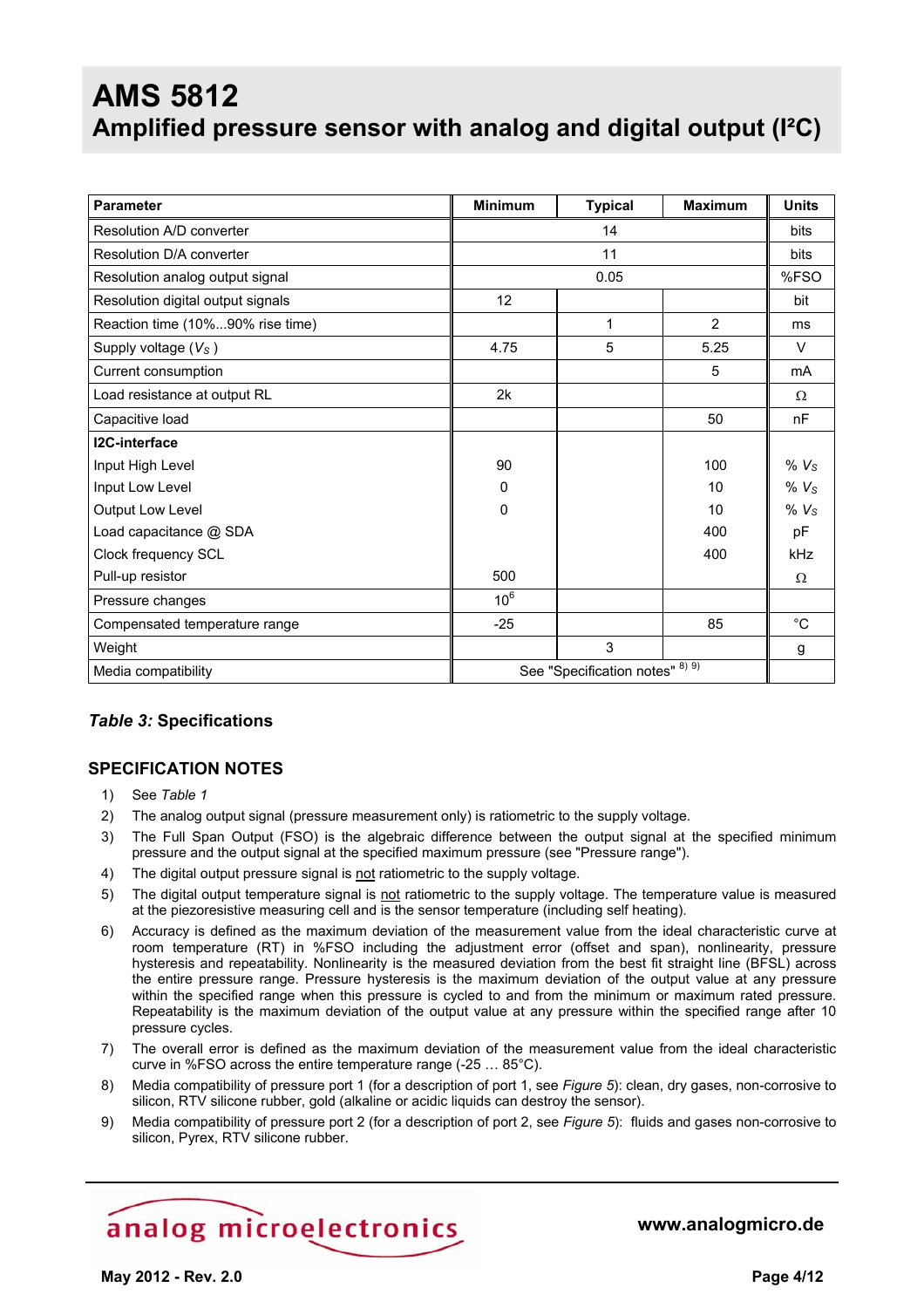| <b>Parameter</b>                  | <b>Minimum</b>                  | <b>Typical</b> | <b>Maximum</b> | <b>Units</b>     |
|-----------------------------------|---------------------------------|----------------|----------------|------------------|
| Resolution A/D converter          | 14                              |                |                | bits             |
| Resolution D/A converter          |                                 | 11             |                |                  |
| Resolution analog output signal   |                                 | 0.05           |                | %FSO             |
| Resolution digital output signals | 12                              |                |                | bit              |
| Reaction time (10%90% rise time)  |                                 | 1              | 2              | ms               |
| Supply voltage $(VS)$             | 4.75                            | 5              | 5.25           | $\vee$           |
| Current consumption               |                                 |                | 5              | mA               |
| Load resistance at output RL      | 2k                              |                |                | $\Omega$         |
| Capacitive load                   |                                 |                | 50             | nF               |
| <b>I2C-interface</b>              |                                 |                |                |                  |
| Input High Level                  | 90                              |                | 100            | % $V_S$          |
| Input Low Level                   | $\Omega$                        |                | 10             | % V <sub>S</sub> |
| Output Low Level                  | 0                               |                | 10             | % V <sub>S</sub> |
| Load capacitance @ SDA            |                                 |                | 400            | pF               |
| Clock frequency SCL               |                                 |                | 400            | kHz              |
| Pull-up resistor                  | 500                             |                |                | Ω                |
| Pressure changes                  | $10^6$                          |                |                |                  |
| Compensated temperature range     | $-25$                           |                | 85             | $^{\circ}$ C     |
| Weight                            |                                 | 3              |                | g                |
| Media compatibility               | See "Specification notes" 8) 9) |                |                |                  |

#### *Table 3:* **Specifications**

#### **SPECIFICATION NOTES**

- 1) See *Table 1*
- 2) The analog output signal (pressure measurement only) is ratiometric to the supply voltage.
- 3) The Full Span Output (FSO) is the algebraic difference between the output signal at the specified minimum pressure and the output signal at the specified maximum pressure (see "Pressure range").
- 4) The digital output pressure signal is not ratiometric to the supply voltage.
- 5) The digital output temperature signal is not ratiometric to the supply voltage. The temperature value is measured at the piezoresistive measuring cell and is the sensor temperature (including self heating).
- 6) Accuracy is defined as the maximum deviation of the measurement value from the ideal characteristic curve at room temperature (RT) in %FSO including the adjustment error (offset and span), nonlinearity, pressure hysteresis and repeatability. Nonlinearity is the measured deviation from the best fit straight line (BFSL) across the entire pressure range. Pressure hysteresis is the maximum deviation of the output value at any pressure within the specified range when this pressure is cycled to and from the minimum or maximum rated pressure. Repeatability is the maximum deviation of the output value at any pressure within the specified range after 10 pressure cycles.
- 7) The overall error is defined as the maximum deviation of the measurement value from the ideal characteristic curve in %FSO across the entire temperature range (-25 … 85°C).
- 8) Media compatibility of pressure port 1 (for a description of port 1, see *Figure 5*): clean, dry gases, non-corrosive to silicon, RTV silicone rubber, gold (alkaline or acidic liquids can destroy the sensor).
- 9) Media compatibility of pressure port 2 (for a description of port 2, see *Figure 5*): fluids and gases non-corrosive to silicon, Pyrex, RTV silicone rubber.

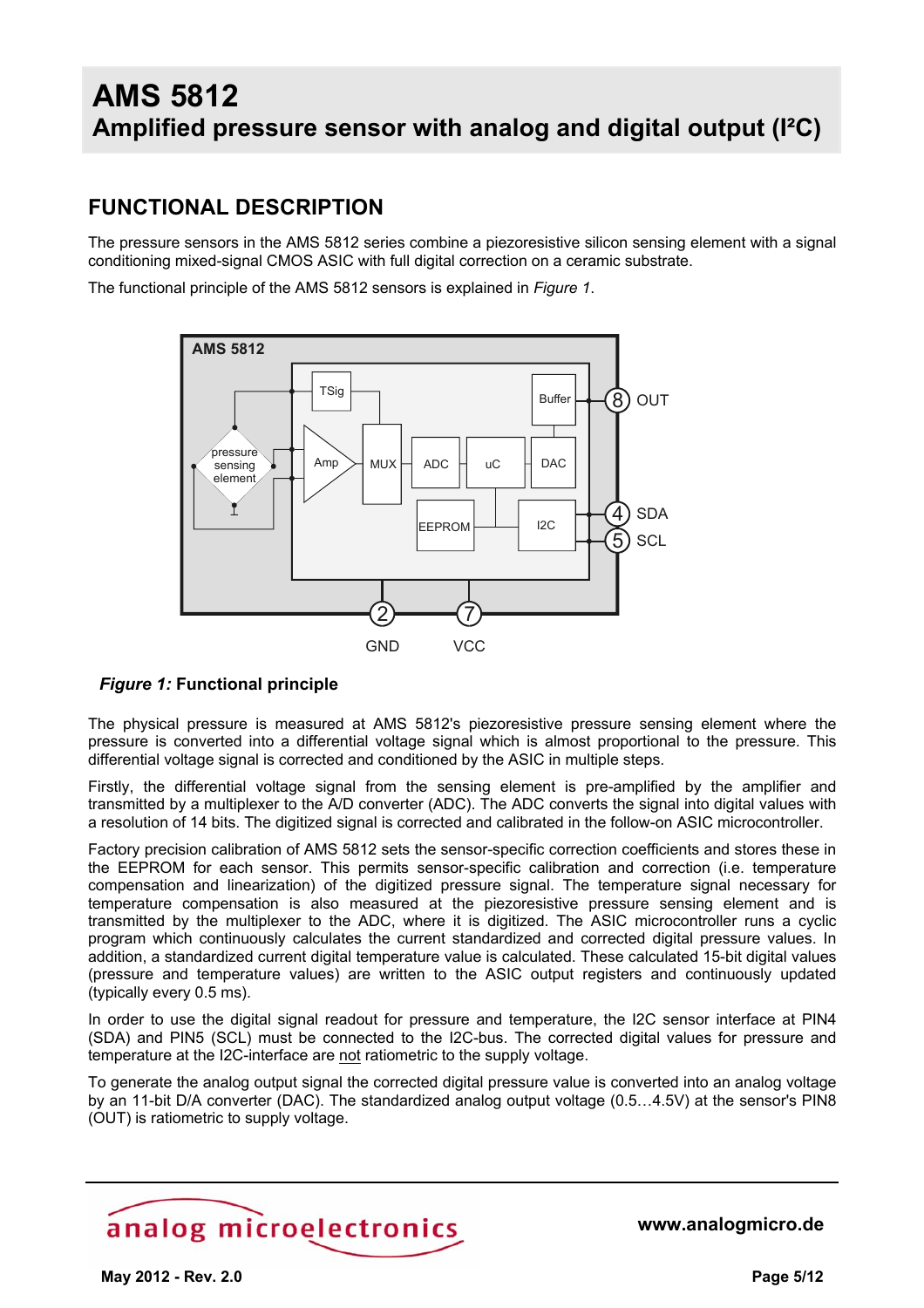### **FUNCTIONAL DESCRIPTION**

The pressure sensors in the AMS 5812 series combine a piezoresistive silicon sensing element with a signal conditioning mixed-signal CMOS ASIC with full digital correction on a ceramic substrate.

The functional principle of the AMS 5812 sensors is explained in *Figure 1*.



#### *Figure 1:* **Functional principle**

The physical pressure is measured at AMS 5812's piezoresistive pressure sensing element where the pressure is converted into a differential voltage signal which is almost proportional to the pressure. This differential voltage signal is corrected and conditioned by the ASIC in multiple steps.

Firstly, the differential voltage signal from the sensing element is pre-amplified by the amplifier and transmitted by a multiplexer to the A/D converter (ADC). The ADC converts the signal into digital values with a resolution of 14 bits. The digitized signal is corrected and calibrated in the follow-on ASIC microcontroller.

Factory precision calibration of AMS 5812 sets the sensor-specific correction coefficients and stores these in the EEPROM for each sensor. This permits sensor-specific calibration and correction (i.e. temperature compensation and linearization) of the digitized pressure signal. The temperature signal necessary for temperature compensation is also measured at the piezoresistive pressure sensing element and is transmitted by the multiplexer to the ADC, where it is digitized. The ASIC microcontroller runs a cyclic program which continuously calculates the current standardized and corrected digital pressure values. In addition, a standardized current digital temperature value is calculated. These calculated 15-bit digital values (pressure and temperature values) are written to the ASIC output registers and continuously updated (typically every 0.5 ms).

In order to use the digital signal readout for pressure and temperature, the I2C sensor interface at PIN4 (SDA) and PIN5 (SCL) must be connected to the I2C-bus. The corrected digital values for pressure and temperature at the I2C-interface are not ratiometric to the supply voltage.

To generate the analog output signal the corrected digital pressure value is converted into an analog voltage by an 11-bit D/A converter (DAC). The standardized analog output voltage (0.5…4.5V) at the sensor's PIN8 (OUT) is ratiometric to supply voltage.

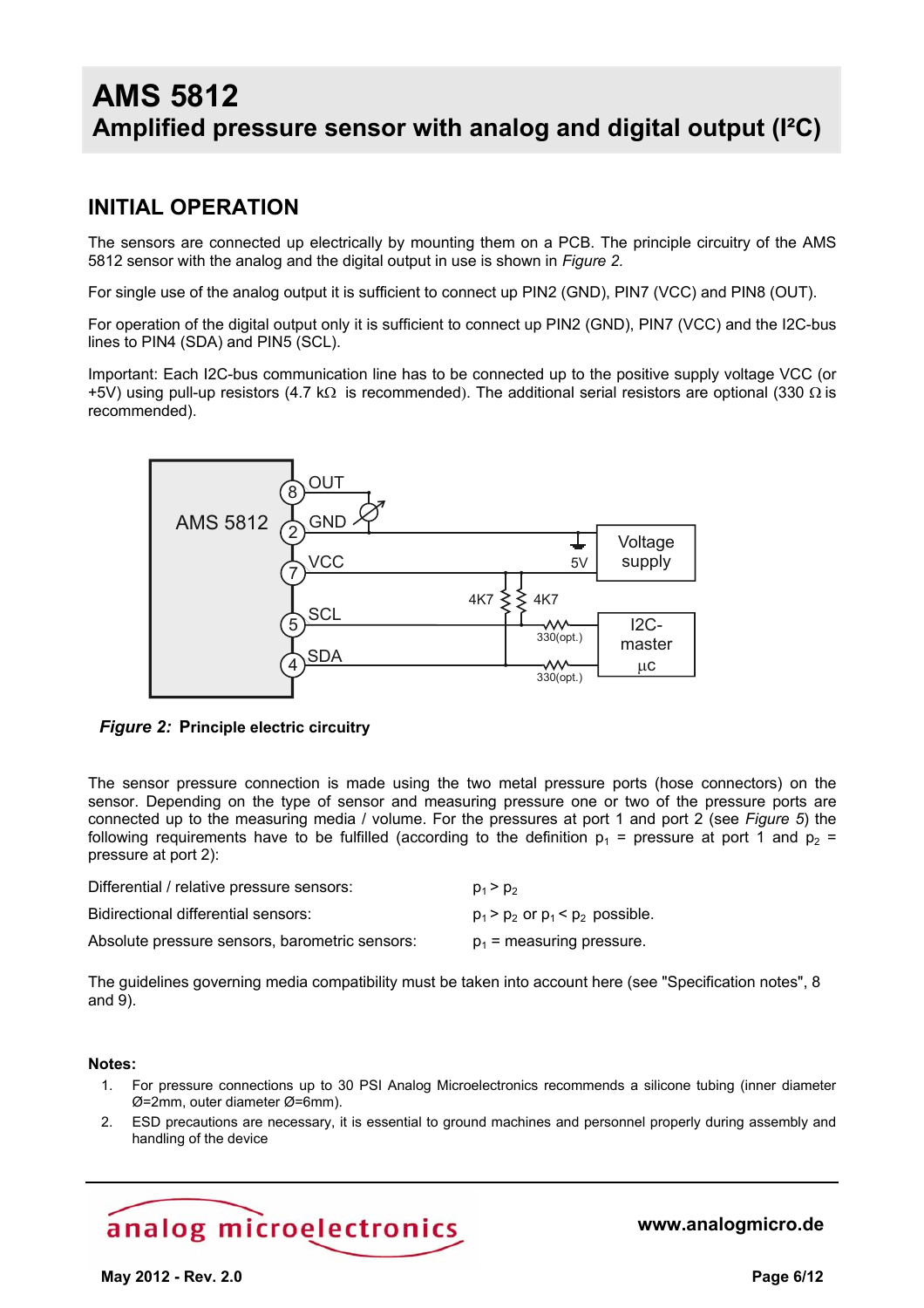### **INITIAL OPERATION**

The sensors are connected up electrically by mounting them on a PCB. The principle circuitry of the AMS 5812 sensor with the analog and the digital output in use is shown in *Figure 2.*

For single use of the analog output it is sufficient to connect up PIN2 (GND), PIN7 (VCC) and PIN8 (OUT).

For operation of the digital output only it is sufficient to connect up PIN2 (GND), PIN7 (VCC) and the I2C-bus lines to PIN4 (SDA) and PIN5 (SCL).

Important: Each I2C-bus communication line has to be connected up to the positive supply voltage VCC (or +5V) using pull-up resistors (4.7 kΩ is recommended). The additional serial resistors are optional (330  $\Omega$  is recommended).



*Figure 2:* **Principle electric circuitry**

The sensor pressure connection is made using the two metal pressure ports (hose connectors) on the sensor. Depending on the type of sensor and measuring pressure one or two of the pressure ports are connected up to the measuring media / volume. For the pressures at port 1 and port 2 (see *Figure 5*) the following requirements have to be fulfilled (according to the definition  $p_1$  = pressure at port 1 and  $p_2$  = pressure at port 2):

| Differential / relative pressure sensors:      | $p_1 > p_2$                              |
|------------------------------------------------|------------------------------------------|
| Bidirectional differential sensors:            | $p_1$ > $p_2$ or $p_1$ < $p_2$ possible. |
| Absolute pressure sensors, barometric sensors: | $p_1$ = measuring pressure.              |

The guidelines governing media compatibility must be taken into account here (see "Specification notes", 8 and 9).

#### **Notes:**

- 1. For pressure connections up to 30 PSI Analog Microelectronics recommends a silicone tubing (inner diameter Ø=2mm, outer diameter Ø=6mm).
- 2. ESD precautions are necessary, it is essential to ground machines and personnel properly during assembly and handling of the device

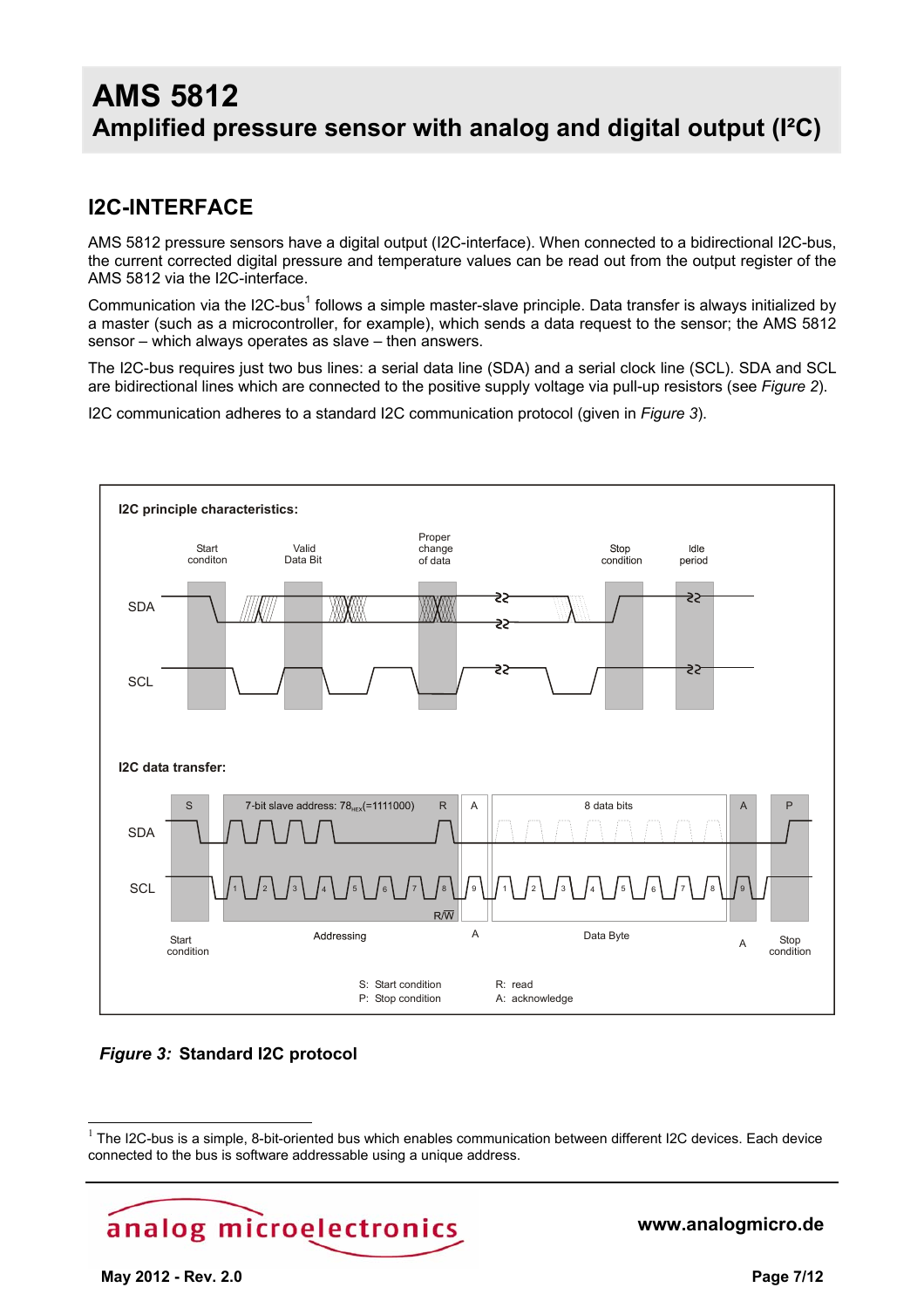### **I2C-INTERFACE**

AMS 5812 pressure sensors have a digital output (I2C-interface). When connected to a bidirectional I2C-bus, the current corrected digital pressure and temperature values can be read out from the output register of the AMS 5812 via the I2C-interface.

Communication via the I2C-bus<sup>1</sup> follows a simple master-slave principle. Data transfer is always initialized by a master (such as a microcontroller, for example), which sends a data request to the sensor; the AMS 5812 sensor – which always operates as slave – then answers.

The I2C-bus requires just two bus lines: a serial data line (SDA) and a serial clock line (SCL). SDA and SCL are bidirectional lines which are connected to the positive supply voltage via pull-up resistors (see *Figure 2*).

I2C communication adheres to a standard I2C communication protocol (given in *Figure 3*).



#### *Figure 3:* **Standard I2C protocol**

 $1$  The I2C-bus is a simple, 8-bit-oriented bus which enables communication between different I2C devices. Each device connected to the bus is software addressable using a unique address.



**www.analogmicro.de**

 $\overline{a}$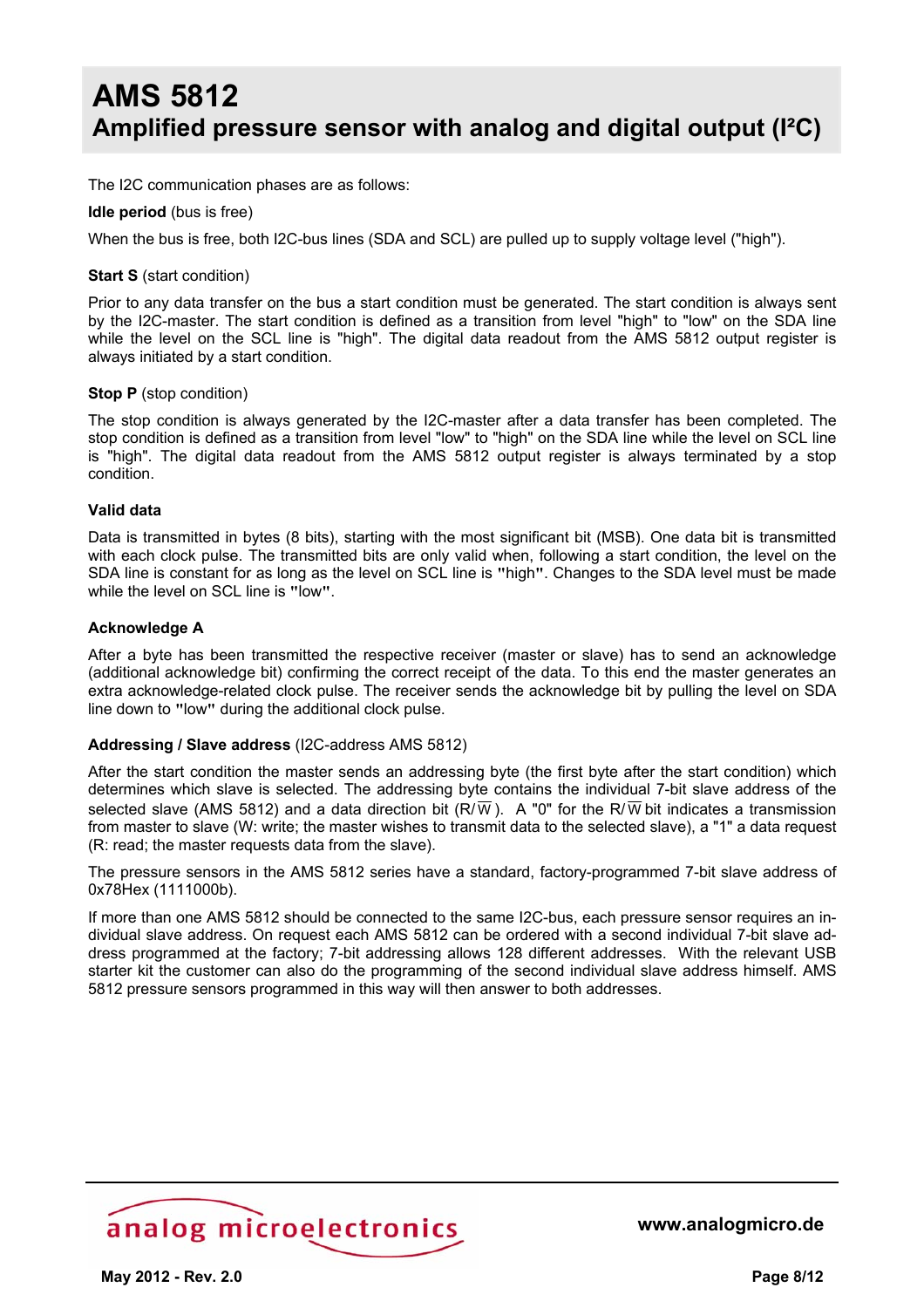The I2C communication phases are as follows:

#### **Idle period** (bus is free)

When the bus is free, both I2C-bus lines (SDA and SCL) are pulled up to supply voltage level ("high").

#### **Start S** (start condition)

Prior to any data transfer on the bus a start condition must be generated. The start condition is always sent by the I2C-master. The start condition is defined as a transition from level "high" to "low" on the SDA line while the level on the SCL line is "high". The digital data readout from the AMS 5812 output register is always initiated by a start condition.

#### **Stop P** (stop condition)

The stop condition is always generated by the I2C-master after a data transfer has been completed. The stop condition is defined as a transition from level "low" to "high" on the SDA line while the level on SCL line is "high". The digital data readout from the AMS 5812 output register is always terminated by a stop condition.

#### **Valid data**

Data is transmitted in bytes (8 bits), starting with the most significant bit (MSB). One data bit is transmitted with each clock pulse. The transmitted bits are only valid when, following a start condition, the level on the SDA line is constant for as long as the level on SCL line is **"**high**"**. Changes to the SDA level must be made while the level on SCL line is **"**low**"**.

#### **Acknowledge A**

After a byte has been transmitted the respective receiver (master or slave) has to send an acknowledge (additional acknowledge bit) confirming the correct receipt of the data. To this end the master generates an extra acknowledge-related clock pulse. The receiver sends the acknowledge bit by pulling the level on SDA line down to **"**low**"** during the additional clock pulse.

#### **Addressing / Slave address** (I2C-address AMS 5812)

After the start condition the master sends an addressing byte (the first byte after the start condition) which determines which slave is selected. The addressing byte contains the individual 7-bit slave address of the selected slave (AMS 5812) and a data direction bit (R/ $\overline{W}$ ). A "0" for the R/ $\overline{W}$  bit indicates a transmission from master to slave (W: write; the master wishes to transmit data to the selected slave), a "1" a data request (R: read; the master requests data from the slave).

The pressure sensors in the AMS 5812 series have a standard, factory-programmed 7-bit slave address of 0x78Hex (1111000b).

If more than one AMS 5812 should be connected to the same I2C-bus, each pressure sensor requires an individual slave address. On request each AMS 5812 can be ordered with a second individual 7-bit slave address programmed at the factory; 7-bit addressing allows 128 different addresses. With the relevant USB starter kit the customer can also do the programming of the second individual slave address himself. AMS 5812 pressure sensors programmed in this way will then answer to both addresses.

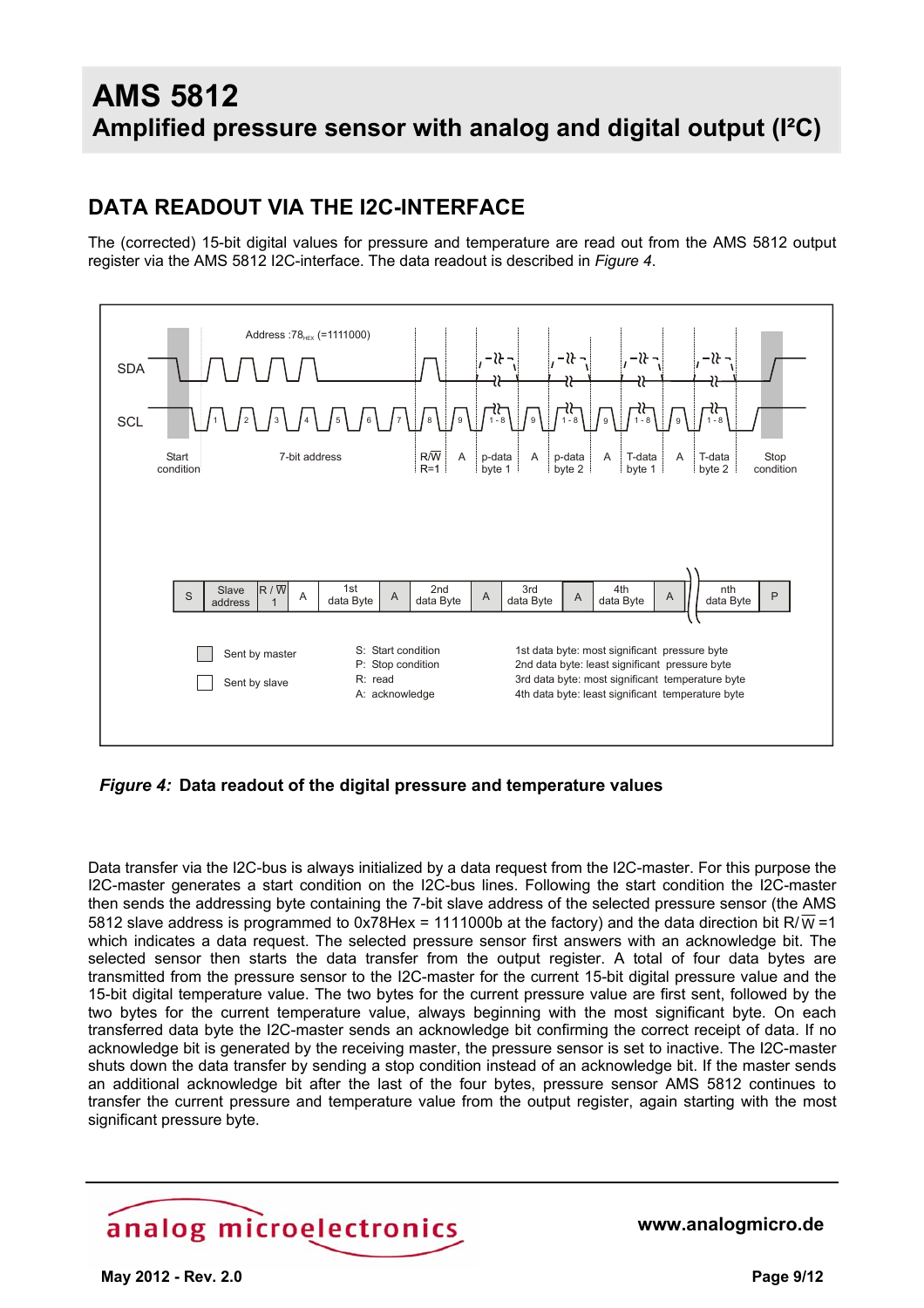### **DATA READOUT VIA THE I2C-INTERFACE**

The (corrected) 15-bit digital values for pressure and temperature are read out from the AMS 5812 output register via the AMS 5812 I2C-interface. The data readout is described in *Figure 4*.



*Figure 4:* **Data readout of the digital pressure and temperature values** 

Data transfer via the I2C-bus is always initialized by a data request from the I2C-master. For this purpose the I2C-master generates a start condition on the I2C-bus lines. Following the start condition the I2C-master then sends the addressing byte containing the 7-bit slave address of the selected pressure sensor (the AMS 5812 slave address is programmed to 0x78Hex = 1111000b at the factory) and the data direction bit R/ $\overline{W}$  =1 which indicates a data request. The selected pressure sensor first answers with an acknowledge bit. The selected sensor then starts the data transfer from the output register. A total of four data bytes are transmitted from the pressure sensor to the I2C-master for the current 15-bit digital pressure value and the 15-bit digital temperature value. The two bytes for the current pressure value are first sent, followed by the two bytes for the current temperature value, always beginning with the most significant byte. On each transferred data byte the I2C-master sends an acknowledge bit confirming the correct receipt of data. If no acknowledge bit is generated by the receiving master, the pressure sensor is set to inactive. The I2C-master shuts down the data transfer by sending a stop condition instead of an acknowledge bit. If the master sends an additional acknowledge bit after the last of the four bytes, pressure sensor AMS 5812 continues to transfer the current pressure and temperature value from the output register, again starting with the most significant pressure byte.

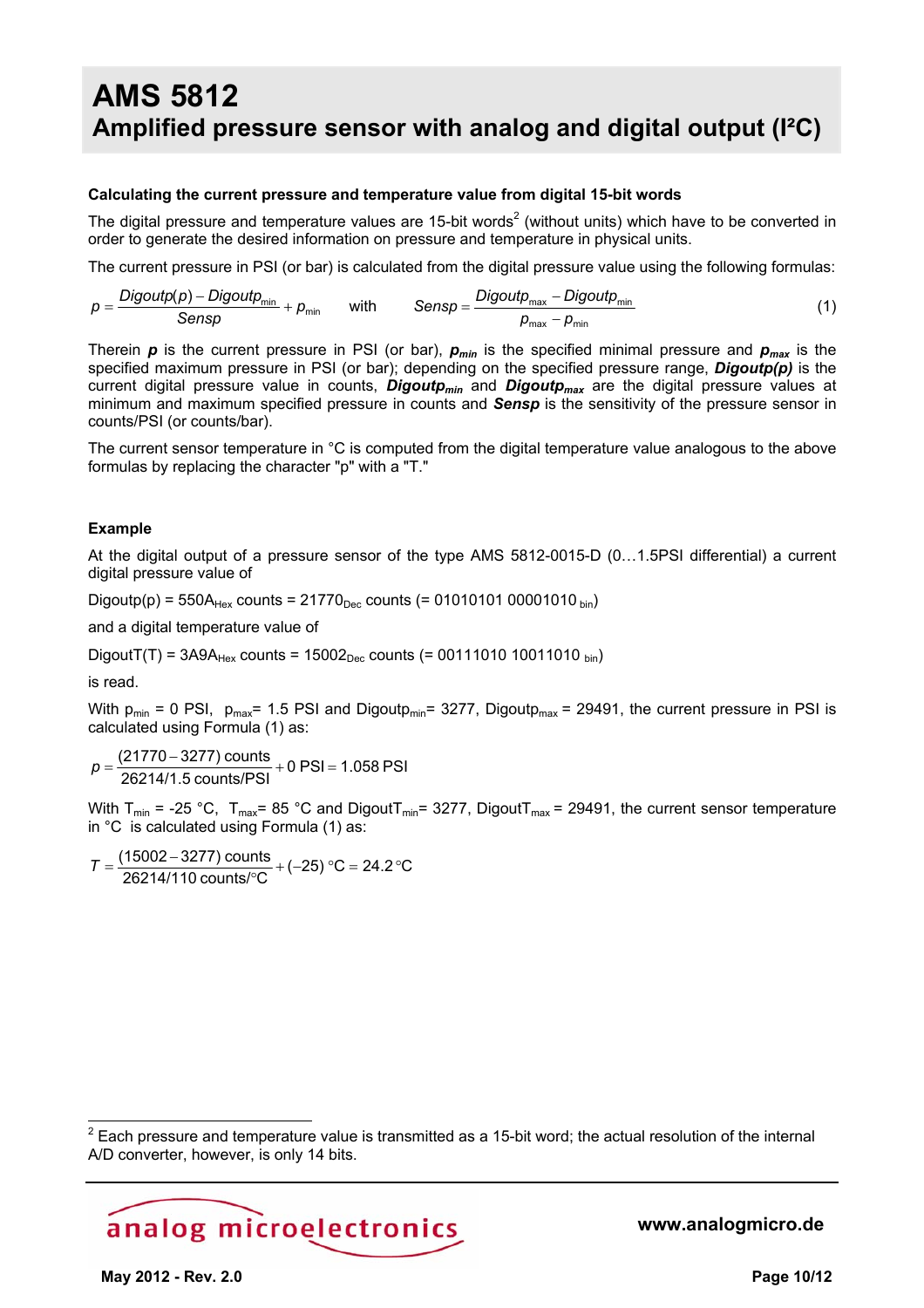#### **Calculating the current pressure and temperature value from digital 15-bit words**

The digital pressure and temperature values are 15-bit words<sup>2</sup> (without units) which have to be converted in order to generate the desired information on pressure and temperature in physical units.

The current pressure in PSI (or bar) is calculated from the digital pressure value using the following formulas:

$$
p = \frac{Digitp(p) - Digitp_{min}}{Sensp} + p_{min} \qquad \text{with} \qquad Sensp = \frac{Digitp_{max} - Digitp_{min}}{p_{max} - p_{min}} \tag{1}
$$

Therein  $p$  is the current pressure in PSI (or bar),  $p_{min}$  is the specified minimal pressure and  $p_{max}$  is the specified maximum pressure in PSI (or bar); depending on the specified pressure range, *Digoutp(p)* is the current digital pressure value in counts, *Digoutpmin* and *Digoutpmax* are the digital pressure values at minimum and maximum specified pressure in counts and *Sensp* is the sensitivity of the pressure sensor in counts/PSI (or counts/bar).

The current sensor temperature in °C is computed from the digital temperature value analogous to the above formulas by replacing the character "p" with a "T."

#### **Example**

At the digital output of a pressure sensor of the type AMS 5812-0015-D (0…1.5PSI differential) a current digital pressure value of

Digoutp(p) =  $550A_{Hex}$  counts =  $21770_{Dec}$  counts (= 01010101 00001010  $_{bin}$ )

and a digital temperature value of

DigoutT(T) =  $3A9A_{Hex}$  counts =  $15002_{Dec}$  counts (= 00111010 10011010 bin)

is read.

 $\overline{a}$ 

With  $p_{min} = 0$  PSI,  $p_{max} = 1.5$  PSI and Digout $p_{min} = 3277$ , Digout $p_{max} = 29491$ , the current pressure in PSI is calculated using Formula (1) as:

 $\frac{(21770 \text{ S277}) \text{ columns}}{26214/1.5 \text{ counts/PSI}} + 0 \text{ PSI} = 1.058 \text{ PSI}$  $p = \frac{(21770 - 3277) \text{ counts}}{2221} + 0 \text{ PSI} =$ 

With  $T_{min}$  = -25 °C,  $T_{max}$ = 85 °C and Digout $T_{min}$ = 3277, Digout $T_{max}$  = 29491, the current sensor temperature in °C is calculated using Formula (1) as:

 $\frac{18802}{26214/110}$  counts/°C + (-25) °C = 24.2 °C  $T = \frac{(15002 - 3277) \text{ counts}}{26214/110 \text{ counts}/^{\circ}\text{C}} + (-25) \text{ °C} = 24.2 \text{ °C}$ 

 $2$  Each pressure and temperature value is transmitted as a 15-bit word; the actual resolution of the internal A/D converter, however, is only 14 bits.

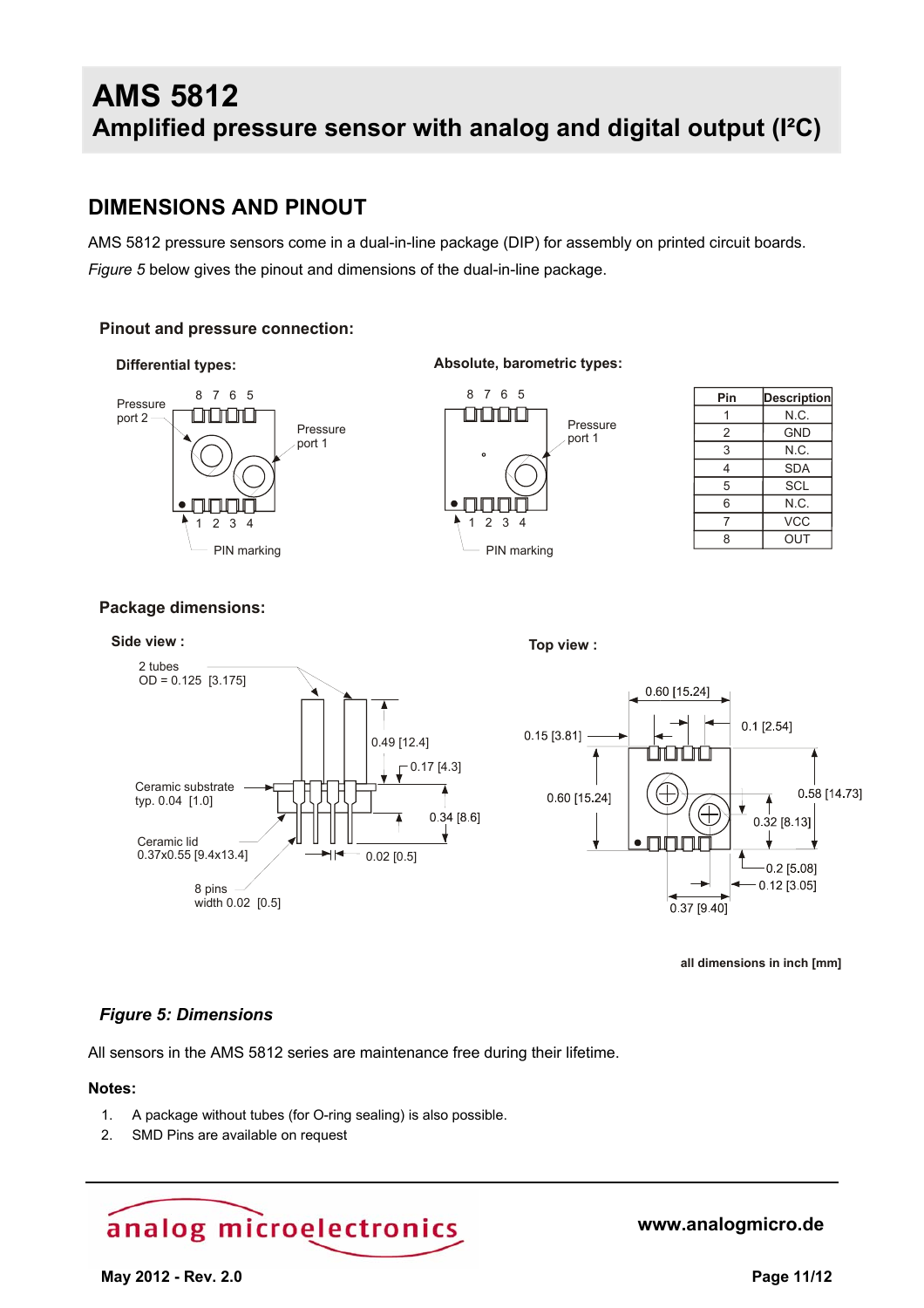### **DIMENSIONS AND PINOUT**

AMS 5812 pressure sensors come in a dual-in-line package (DIP) for assembly on printed circuit boards. *Figure 5* below gives the pinout and dimensions of the dual-in-line package.

#### **Pinout and pressure connection:**



#### **Differential types: Absolute, barometric types:**



| Pin | <b>Description</b> |
|-----|--------------------|
|     | N.C.               |
| 2   | <b>GND</b>         |
| 3   | N.C.               |
| 4   | <b>SDA</b>         |
| 5   | <b>SCL</b>         |
| 6   | N.C.               |
| 7   | <b>VCC</b>         |
| 8   | OUT                |

#### **Package dimensions:**



**all dimensions in inch [mm]**

#### *Figure 5: Dimensions*

All sensors in the AMS 5812 series are maintenance free during their lifetime.

#### **Notes:**

- 1. A package without tubes (for O-ring sealing) is also possible.
- 2. SMD Pins are available on request

# analog microelectronics